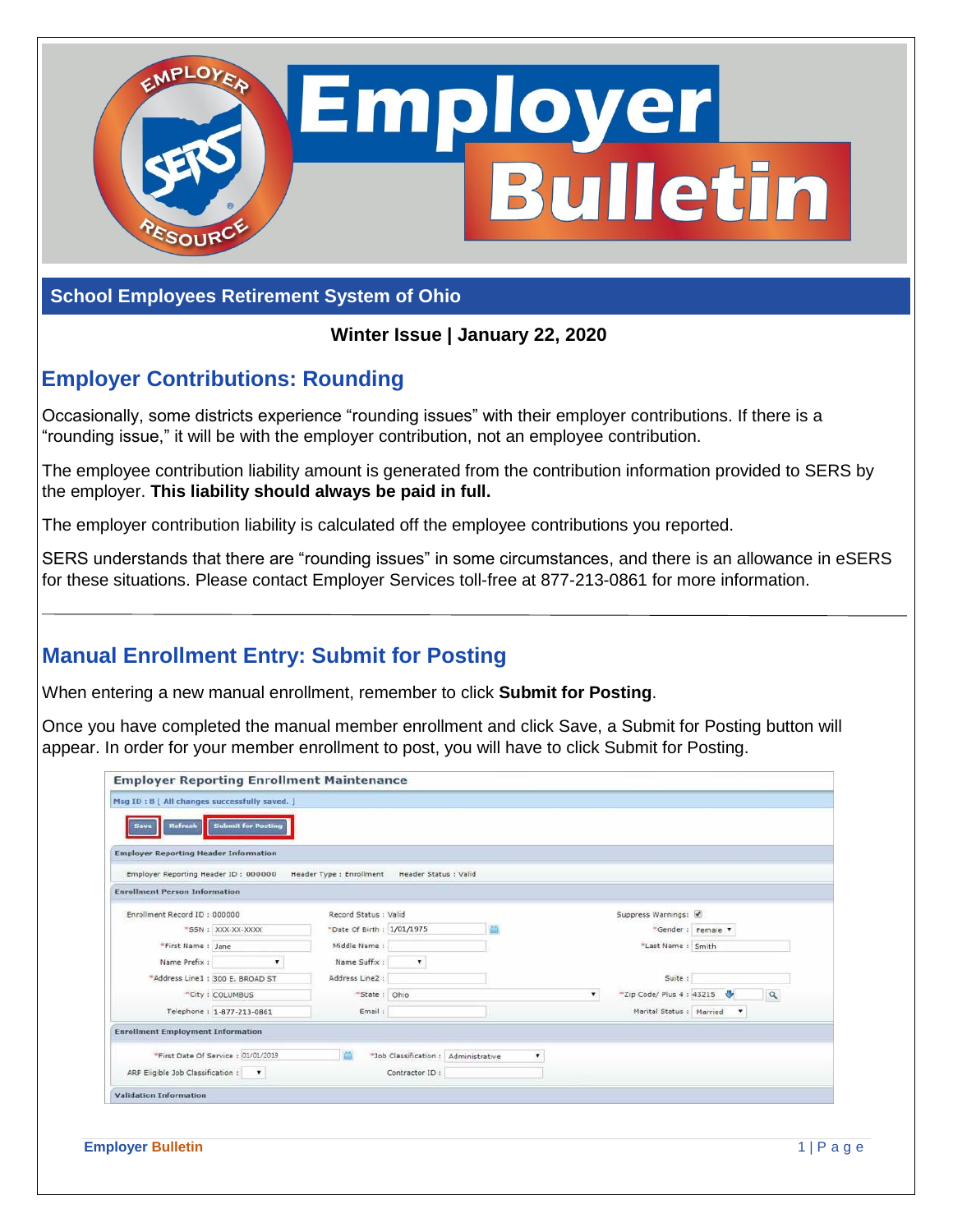

#### **School Employees Retirement System of Ohio**

**Winter Issue | January 22, 2020**

## **Employer Contributions: Rounding**

Occasionally, some districts experience "rounding issues" with their employer contributions. If there is a "rounding issue," it will be with the employer contribution, not an employee contribution.

The employee contribution liability amount is generated from the contribution information provided to SERS by the employer. **This liability should always be paid in full.**

The employer contribution liability is calculated off the employee contributions you reported.

SERS understands that there are "rounding issues" in some circumstances, and there is an allowance in eSERS for these situations. Please contact Employer Services toll-free at 877-213-0861 for more information.

# **Manual Enrollment Entry: Submit for Posting**

When entering a new manual enrollment, remember to click **Submit for Posting**.

Once you have completed the manual member enrollment and click Save, a Submit for Posting button will appear. In order for your member enrollment to post, you will have to click Submit for Posting.

| <b>Employer Reporting Header Information</b><br>Employer Reporting Header ID: 000000 |                                     | Header Type : Enrollment   | Header Status : Valid                |   |                               |                    |  |
|--------------------------------------------------------------------------------------|-------------------------------------|----------------------------|--------------------------------------|---|-------------------------------|--------------------|--|
| <b>Enrollment Person Information</b>                                                 |                                     |                            |                                      |   |                               |                    |  |
| Enrollment Record ID: 000000                                                         |                                     | Record Status : Valid      |                                      |   | Suppress Warnings:            |                    |  |
|                                                                                      | *SSN: XXX-XX-XXXX                   | *Date Of Birth : 1/01/1975 |                                      |   |                               | *Gender: Female v  |  |
| "First Name: Jane                                                                    |                                     | Middle Name:               |                                      |   | "Last Name: Smith             |                    |  |
| Name Prefix :                                                                        | $\overline{\phantom{a}}$            | Name Suffix:               | ۷.                                   |   |                               |                    |  |
|                                                                                      | "Address Line1 : 300 E. BROAD ST    | Address Line2 :            |                                      |   | Suite:                        |                    |  |
|                                                                                      | *City: COLUMBUS                     | "State: Ohio               |                                      |   | *Zip Code/ Plus 4: 43215<br>۰ | $\alpha$           |  |
|                                                                                      | Telephone: 1-877-213-0861           | Email:                     |                                      |   | Marital Status : Married      | $\pmb{\mathrm{v}}$ |  |
| <b>Enrollment Employment Information</b>                                             |                                     |                            |                                      |   |                               |                    |  |
|                                                                                      | "First Date Of Service : 01/01/2019 |                            | "Job Classification : Administrative | ۰ |                               |                    |  |
| ARP Eligible Job Classification : v                                                  |                                     |                            | Contractor ID:                       |   |                               |                    |  |
| <b>Validation Information</b>                                                        |                                     |                            |                                      |   |                               |                    |  |